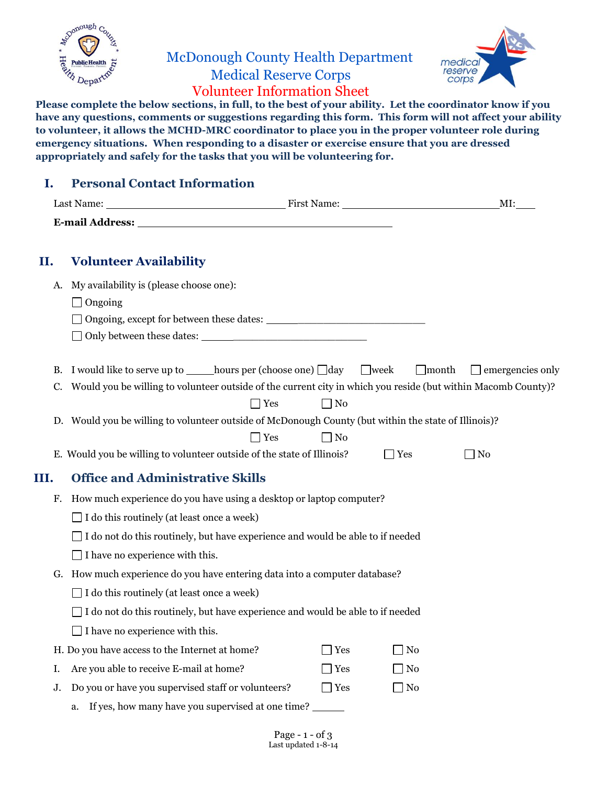

## McDonough County Health Department Medical Reserve Corps Volunteer Information Sheet



**Please complete the below sections, in full, to the best of your ability. Let the coordinator know if you have any questions, comments or suggestions regarding this form. This form will not affect your ability to volunteer, it allows the MCHD-MRC coordinator to place you in the proper volunteer role during emergency situations. When responding to a disaster or exercise ensure that you are dressed appropriately and safely for the tasks that you will be volunteering for.**

## **I. Personal Contact Information**

|                                                                                                                  | Last Name:                                                                                           |            |              | MI:                     |  |  |
|------------------------------------------------------------------------------------------------------------------|------------------------------------------------------------------------------------------------------|------------|--------------|-------------------------|--|--|
|                                                                                                                  |                                                                                                      |            |              |                         |  |  |
| П.                                                                                                               | <b>Volunteer Availability</b>                                                                        |            |              |                         |  |  |
| A.                                                                                                               | My availability is (please choose one):                                                              |            |              |                         |  |  |
|                                                                                                                  | $\Box$ Ongoing                                                                                       |            |              |                         |  |  |
|                                                                                                                  |                                                                                                      |            |              |                         |  |  |
|                                                                                                                  |                                                                                                      |            |              |                         |  |  |
| В.                                                                                                               | I would like to serve up to _______ hours per (choose one) $\Box$ day $\Box$ week                    |            | $\Box$ month | $\Box$ emergencies only |  |  |
| C. Would you be willing to volunteer outside of the current city in which you reside (but within Macomb County)? |                                                                                                      |            |              |                         |  |  |
|                                                                                                                  | $\Box$ Yes                                                                                           | $\Box$ No  |              |                         |  |  |
|                                                                                                                  | D. Would you be willing to volunteer outside of McDonough County (but within the state of Illinois)? |            |              |                         |  |  |
|                                                                                                                  | Yes                                                                                                  | $\Box$ No  |              |                         |  |  |
|                                                                                                                  | E. Would you be willing to volunteer outside of the state of Illinois?                               |            | $\Box$ Yes   | ] No                    |  |  |
| Ш.                                                                                                               | <b>Office and Administrative Skills</b>                                                              |            |              |                         |  |  |
| F.                                                                                                               | How much experience do you have using a desktop or laptop computer?                                  |            |              |                         |  |  |
|                                                                                                                  | $\Box$ I do this routinely (at least once a week)                                                    |            |              |                         |  |  |
|                                                                                                                  | $\Box$ I do not do this routinely, but have experience and would be able to if needed                |            |              |                         |  |  |
|                                                                                                                  | $\Box$ I have no experience with this.                                                               |            |              |                         |  |  |
| G. How much experience do you have entering data into a computer database?                                       |                                                                                                      |            |              |                         |  |  |
|                                                                                                                  | $\Box$ I do this routinely (at least once a week)                                                    |            |              |                         |  |  |
|                                                                                                                  | $\Box$ I do not do this routinely, but have experience and would be able to if needed                |            |              |                         |  |  |
|                                                                                                                  | $\Box$ I have no experience with this.                                                               |            |              |                         |  |  |
|                                                                                                                  | H. Do you have access to the Internet at home?                                                       | $\Box$ Yes | ∐No          |                         |  |  |
| Ι.                                                                                                               | Are you able to receive E-mail at home?                                                              | $\Box$ Yes | $\Box$ No    |                         |  |  |
| J.                                                                                                               | Do you or have you supervised staff or volunteers?                                                   | $\Box$ Yes | $\Box$ No    |                         |  |  |
|                                                                                                                  | a. If yes, how many have you supervised at one time?                                                 |            |              |                         |  |  |
|                                                                                                                  |                                                                                                      |            |              |                         |  |  |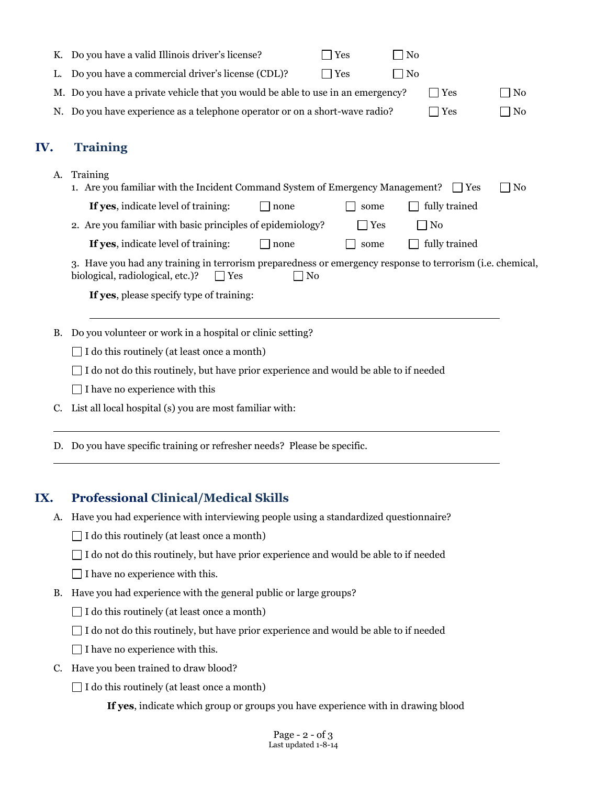|                                                                 | К.                                                                                                                                                                | Do you have a valid Illinois driver's license?<br>Yes<br>No                                             |                |  |  |  |  |  |  |
|-----------------------------------------------------------------|-------------------------------------------------------------------------------------------------------------------------------------------------------------------|---------------------------------------------------------------------------------------------------------|----------------|--|--|--|--|--|--|
|                                                                 | L.                                                                                                                                                                | Do you have a commercial driver's license (CDL)?<br>Yes<br>N <sub>0</sub>                               |                |  |  |  |  |  |  |
|                                                                 |                                                                                                                                                                   | M. Do you have a private vehicle that you would be able to use in an emergency?<br>$\Box$ Yes           | N <sub>0</sub> |  |  |  |  |  |  |
|                                                                 | N.                                                                                                                                                                | Do you have experience as a telephone operator or on a short-wave radio?<br>$\exists$ Yes               |                |  |  |  |  |  |  |
| IV.                                                             |                                                                                                                                                                   | <b>Training</b>                                                                                         |                |  |  |  |  |  |  |
|                                                                 | A.                                                                                                                                                                | Training<br>1. Are you familiar with the Incident Command System of Emergency Management?<br>$\Box$ Yes | N <sub>0</sub> |  |  |  |  |  |  |
|                                                                 |                                                                                                                                                                   | If yes, indicate level of training:<br>fully trained<br>$\perp$ none<br>some                            |                |  |  |  |  |  |  |
|                                                                 |                                                                                                                                                                   | 2. Are you familiar with basic principles of epidemiology?<br>No<br>Yes<br>$\blacksquare$               |                |  |  |  |  |  |  |
|                                                                 |                                                                                                                                                                   | If yes, indicate level of training:<br>fully trained<br>none<br>some                                    |                |  |  |  |  |  |  |
|                                                                 | 3. Have you had any training in terrorism preparedness or emergency response to terrorism (i.e. chemical,<br>biological, radiological, etc.)?<br>$\Box$ No<br>Yes |                                                                                                         |                |  |  |  |  |  |  |
|                                                                 |                                                                                                                                                                   | If yes, please specify type of training:                                                                |                |  |  |  |  |  |  |
| Do you volunteer or work in a hospital or clinic setting?<br>B. |                                                                                                                                                                   |                                                                                                         |                |  |  |  |  |  |  |
|                                                                 |                                                                                                                                                                   | $\Box$ I do this routinely (at least once a month)                                                      |                |  |  |  |  |  |  |
|                                                                 |                                                                                                                                                                   | I do not do this routinely, but have prior experience and would be able to if needed                    |                |  |  |  |  |  |  |
|                                                                 |                                                                                                                                                                   | $\Box$ I have no experience with this                                                                   |                |  |  |  |  |  |  |
|                                                                 | C.                                                                                                                                                                | List all local hospital (s) you are most familiar with:                                                 |                |  |  |  |  |  |  |
|                                                                 |                                                                                                                                                                   | D. Do you have specific training or refresher needs? Please be specific.                                |                |  |  |  |  |  |  |
|                                                                 |                                                                                                                                                                   |                                                                                                         |                |  |  |  |  |  |  |

## **IX. Professional Clinical/Medical Skills**

- A. Have you had experience with interviewing people using a standardized questionnaire?
	- $\Box$  I do this routinely (at least once a month)
	- $\Box$  I do not do this routinely, but have prior experience and would be able to if needed
	- $\Box$  I have no experience with this.
- B. Have you had experience with the general public or large groups?
	- $\Box$  I do this routinely (at least once a month)
	- $\Box$  I do not do this routinely, but have prior experience and would be able to if needed
	- $\Box$  I have no experience with this.
- C. Have you been trained to draw blood?
	- $\Box$  I do this routinely (at least once a month)
		- **If yes**, indicate which group or groups you have experience with in drawing blood